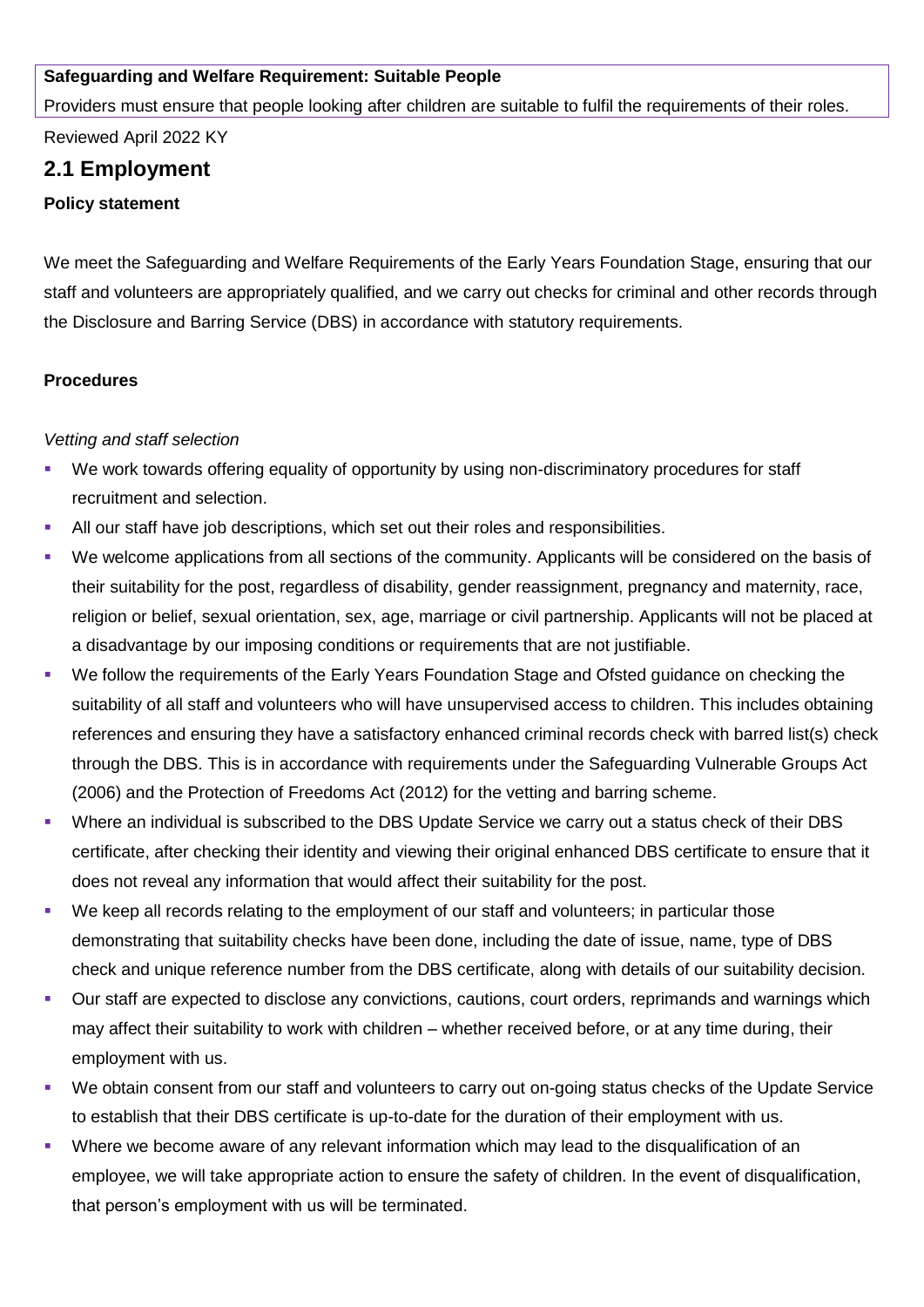#### **Safeguarding and Welfare Requirement: Suitable People**

Providers must ensure that people looking after children are suitable to fulfil the requirements of their roles.

Reviewed April 2022 KY

# **2.1 Employment**

#### **Policy statement**

We meet the Safeguarding and Welfare Requirements of the Early Years Foundation Stage, ensuring that our staff and volunteers are appropriately qualified, and we carry out checks for criminal and other records through the Disclosure and Barring Service (DBS) in accordance with statutory requirements.

## **Procedures**

#### *Vetting and staff selection*

- We work towards offering equality of opportunity by using non-discriminatory procedures for staff recruitment and selection.
- All our staff have job descriptions, which set out their roles and responsibilities.
- We welcome applications from all sections of the community. Applicants will be considered on the basis of their suitability for the post, regardless of disability, gender reassignment, pregnancy and maternity, race, religion or belief, sexual orientation, sex, age, marriage or civil partnership. Applicants will not be placed at a disadvantage by our imposing conditions or requirements that are not justifiable.
- We follow the requirements of the Early Years Foundation Stage and Ofsted guidance on checking the suitability of all staff and volunteers who will have unsupervised access to children. This includes obtaining references and ensuring they have a satisfactory enhanced criminal records check with barred list(s) check through the DBS. This is in accordance with requirements under the Safeguarding Vulnerable Groups Act (2006) and the Protection of Freedoms Act (2012) for the vetting and barring scheme.
- Where an individual is subscribed to the DBS Update Service we carry out a status check of their DBS certificate, after checking their identity and viewing their original enhanced DBS certificate to ensure that it does not reveal any information that would affect their suitability for the post.
- We keep all records relating to the employment of our staff and volunteers; in particular those demonstrating that suitability checks have been done, including the date of issue, name, type of DBS check and unique reference number from the DBS certificate, along with details of our suitability decision.
- Our staff are expected to disclose any convictions, cautions, court orders, reprimands and warnings which may affect their suitability to work with children – whether received before, or at any time during, their employment with us.
- We obtain consent from our staff and volunteers to carry out on-going status checks of the Update Service to establish that their DBS certificate is up-to-date for the duration of their employment with us.
- Where we become aware of any relevant information which may lead to the disqualification of an employee, we will take appropriate action to ensure the safety of children. In the event of disqualification, that person's employment with us will be terminated.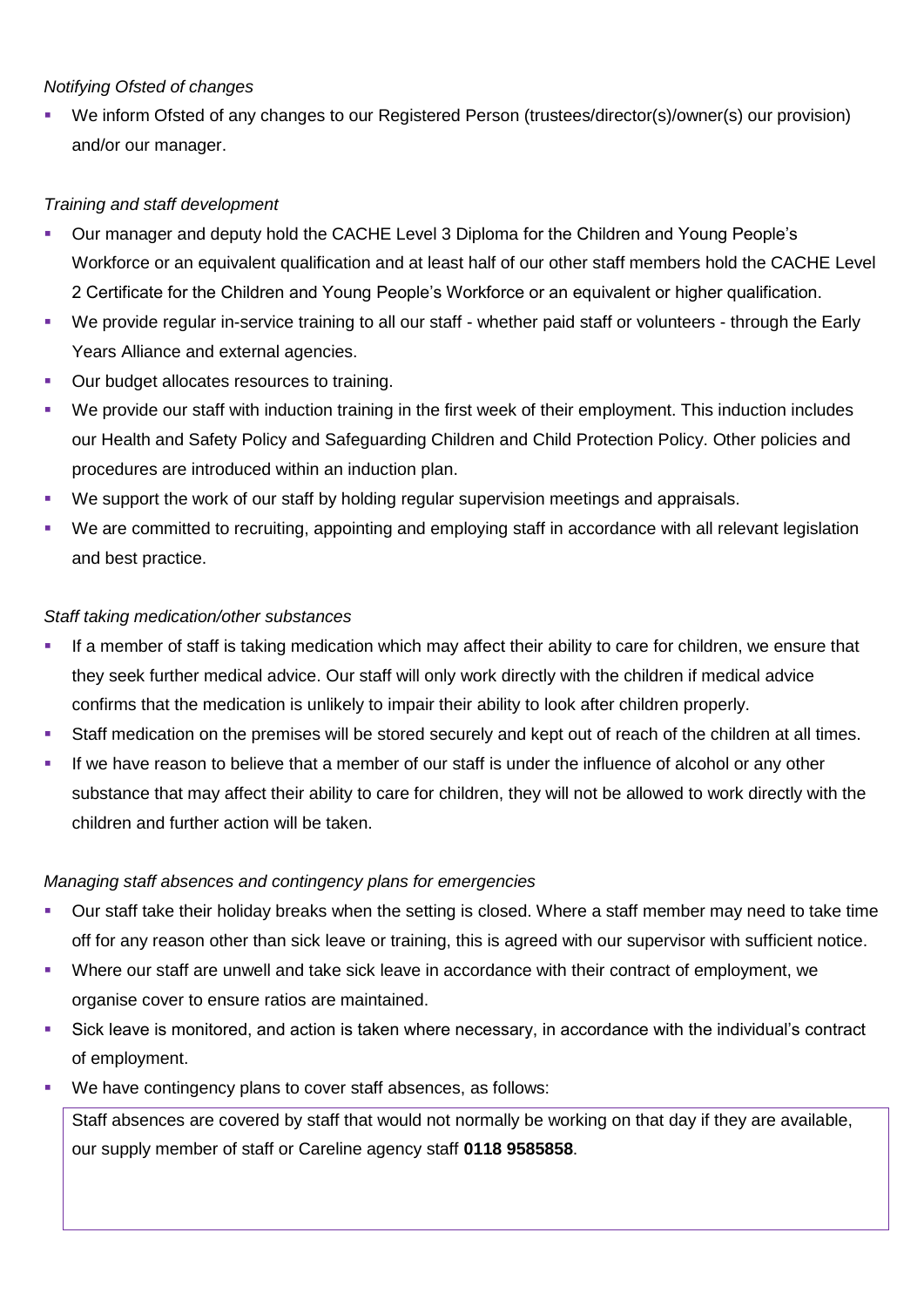## *Notifying Ofsted of changes*

We inform Ofsted of any changes to our Registered Person (trustees/director(s)/owner(s) our provision) and/or our manager.

# *Training and staff development*

- Our manager and deputy hold the CACHE Level 3 Diploma for the Children and Young People's Workforce or an equivalent qualification and at least half of our other staff members hold the CACHE Level 2 Certificate for the Children and Young People's Workforce or an equivalent or higher qualification.
- We provide regular in-service training to all our staff whether paid staff or volunteers through the Early Years Alliance and external agencies.
- Our budget allocates resources to training.
- We provide our staff with induction training in the first week of their employment. This induction includes our Health and Safety Policy and Safeguarding Children and Child Protection Policy. Other policies and procedures are introduced within an induction plan.
- We support the work of our staff by holding regular supervision meetings and appraisals.
- We are committed to recruiting, appointing and employing staff in accordance with all relevant legislation and best practice.

## *Staff taking medication/other substances*

- If a member of staff is taking medication which may affect their ability to care for children, we ensure that they seek further medical advice. Our staff will only work directly with the children if medical advice confirms that the medication is unlikely to impair their ability to look after children properly.
- Staff medication on the premises will be stored securely and kept out of reach of the children at all times.
- **■** If we have reason to believe that a member of our staff is under the influence of alcohol or any other substance that may affect their ability to care for children, they will not be allowed to work directly with the children and further action will be taken.

#### *Managing staff absences and contingency plans for emergencies*

- Our staff take their holiday breaks when the setting is closed. Where a staff member may need to take time off for any reason other than sick leave or training, this is agreed with our supervisor with sufficient notice.
- Where our staff are unwell and take sick leave in accordance with their contract of employment, we organise cover to ensure ratios are maintained.
- Sick leave is monitored, and action is taken where necessary, in accordance with the individual's contract of employment.
- We have contingency plans to cover staff absences, as follows:

Staff absences are covered by staff that would not normally be working on that day if they are available, our supply member of staff or Careline agency staff **0118 9585858**.